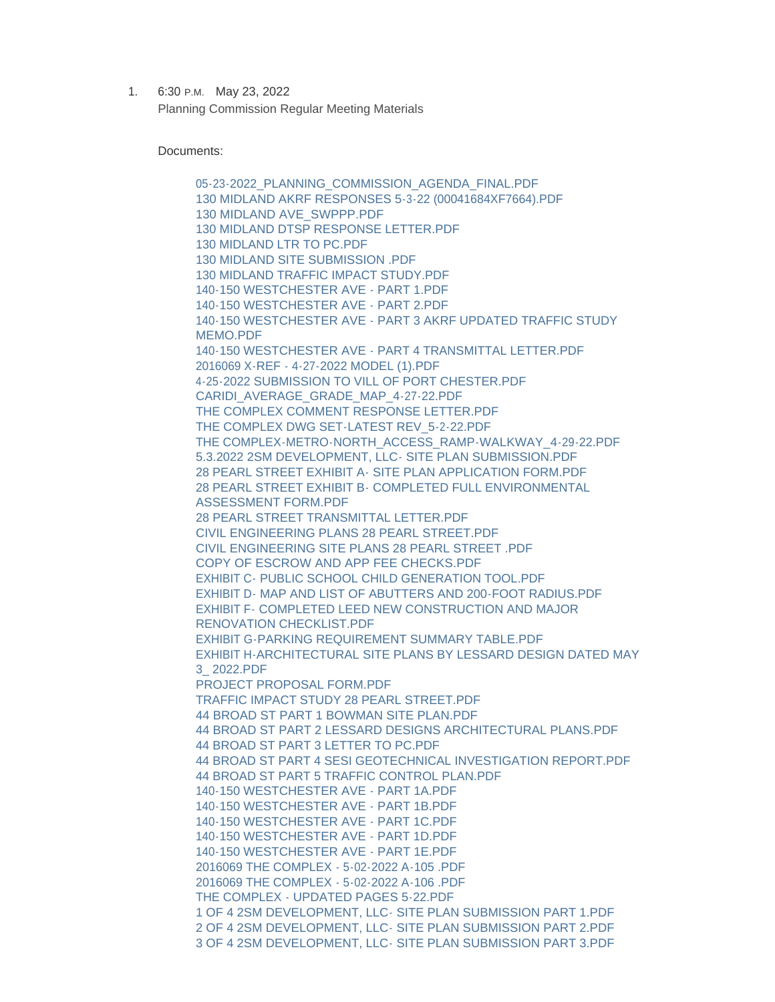1. 6:30 P.M. May 23, 2022 Planning Commission Regular Meeting Materials

Documents:

[05-23-2022\\_PLANNING\\_COMMISSION\\_AGENDA\\_FINAL.PDF](https://www.portchesterny.gov/AgendaCenter/ViewFile/Item/150?fileID=657) [130 MIDLAND AKRF RESPONSES 5-3-22 \(00041684XF7664\).PDF](https://www.portchesterny.gov/AgendaCenter/ViewFile/Item/150?fileID=658) [130 MIDLAND AVE\\_SWPPP.PDF](https://www.portchesterny.gov/AgendaCenter/ViewFile/Item/150?fileID=659) [130 MIDLAND DTSP RESPONSE LETTER.PDF](https://www.portchesterny.gov/AgendaCenter/ViewFile/Item/150?fileID=660) [130 MIDLAND LTR TO PC.PDF](https://www.portchesterny.gov/AgendaCenter/ViewFile/Item/150?fileID=661) [130 MIDLAND SITE SUBMISSION .PDF](https://www.portchesterny.gov/AgendaCenter/ViewFile/Item/150?fileID=662) [130 MIDLAND TRAFFIC IMPACT STUDY.PDF](https://www.portchesterny.gov/AgendaCenter/ViewFile/Item/150?fileID=663) [140-150 WESTCHESTER AVE - PART 1.PDF](https://www.portchesterny.gov/AgendaCenter/ViewFile/Item/150?fileID=664) [140-150 WESTCHESTER AVE - PART 2.PDF](https://www.portchesterny.gov/AgendaCenter/ViewFile/Item/150?fileID=665) [140-150 WESTCHESTER AVE - PART 3 AKRF UPDATED TRAFFIC STUDY](https://www.portchesterny.gov/AgendaCenter/ViewFile/Item/150?fileID=666)  MEMO PDE [140-150 WESTCHESTER AVE - PART 4 TRANSMITTAL LETTER.PDF](https://www.portchesterny.gov/AgendaCenter/ViewFile/Item/150?fileID=667) [2016069 X-REF - 4-27-2022 MODEL \(1\).PDF](https://www.portchesterny.gov/AgendaCenter/ViewFile/Item/150?fileID=668) [4-25-2022 SUBMISSION TO VILL OF PORT CHESTER.PDF](https://www.portchesterny.gov/AgendaCenter/ViewFile/Item/150?fileID=669) [CARIDI\\_AVERAGE\\_GRADE\\_MAP\\_4-27-22.PDF](https://www.portchesterny.gov/AgendaCenter/ViewFile/Item/150?fileID=670) [THE COMPLEX COMMENT RESPONSE LETTER.PDF](https://www.portchesterny.gov/AgendaCenter/ViewFile/Item/150?fileID=671) [THE COMPLEX DWG SET-LATEST REV\\_5-2-22.PDF](https://www.portchesterny.gov/AgendaCenter/ViewFile/Item/150?fileID=672) [THE COMPLEX-METRO-NORTH\\_ACCESS\\_RAMP-WALKWAY\\_4-29-22.PDF](https://www.portchesterny.gov/AgendaCenter/ViewFile/Item/150?fileID=673) [5.3.2022 2SM DEVELOPMENT, LLC- SITE PLAN SUBMISSION.PDF](https://www.portchesterny.gov/AgendaCenter/ViewFile/Item/150?fileID=674) [28 PEARL STREET EXHIBIT A- SITE PLAN APPLICATION FORM.PDF](https://www.portchesterny.gov/AgendaCenter/ViewFile/Item/150?fileID=675) [28 PEARL STREET EXHIBIT B- COMPLETED FULL ENVIRONMENTAL](https://www.portchesterny.gov/AgendaCenter/ViewFile/Item/150?fileID=676)  ASSESSMENT FORM.PDF [28 PEARL STREET TRANSMITTAL LETTER.PDF](https://www.portchesterny.gov/AgendaCenter/ViewFile/Item/150?fileID=677) [CIVIL ENGINEERING PLANS 28 PEARL STREET.PDF](https://www.portchesterny.gov/AgendaCenter/ViewFile/Item/150?fileID=678) [CIVIL ENGINEERING SITE PLANS 28 PEARL STREET .PDF](https://www.portchesterny.gov/AgendaCenter/ViewFile/Item/150?fileID=679) [COPY OF ESCROW AND APP FEE CHECKS.PDF](https://www.portchesterny.gov/AgendaCenter/ViewFile/Item/150?fileID=680) [EXHIBIT C- PUBLIC SCHOOL CHILD GENERATION TOOL.PDF](https://www.portchesterny.gov/AgendaCenter/ViewFile/Item/150?fileID=681) [EXHIBIT D- MAP AND LIST OF ABUTTERS AND 200-FOOT RADIUS.PDF](https://www.portchesterny.gov/AgendaCenter/ViewFile/Item/150?fileID=682) [EXHIBIT F- COMPLETED LEED NEW CONSTRUCTION AND MAJOR](https://www.portchesterny.gov/AgendaCenter/ViewFile/Item/150?fileID=683)  RENOVATION CHECKLIST.PDF [EXHIBIT G-PARKING REQUIREMENT SUMMARY TABLE.PDF](https://www.portchesterny.gov/AgendaCenter/ViewFile/Item/150?fileID=684) [EXHIBIT H-ARCHITECTURAL SITE PLANS BY LESSARD DESIGN DATED MAY](https://www.portchesterny.gov/AgendaCenter/ViewFile/Item/150?fileID=685)  3\_ 2022.PDF [PROJECT PROPOSAL FORM.PDF](https://www.portchesterny.gov/AgendaCenter/ViewFile/Item/150?fileID=686) [TRAFFIC IMPACT STUDY 28 PEARL STREET.PDF](https://www.portchesterny.gov/AgendaCenter/ViewFile/Item/150?fileID=687) [44 BROAD ST PART 1 BOWMAN SITE PLAN.PDF](https://www.portchesterny.gov/AgendaCenter/ViewFile/Item/150?fileID=688) [44 BROAD ST PART 2 LESSARD DESIGNS ARCHITECTURAL PLANS.PDF](https://www.portchesterny.gov/AgendaCenter/ViewFile/Item/150?fileID=689) [44 BROAD ST PART 3 LETTER TO PC.PDF](https://www.portchesterny.gov/AgendaCenter/ViewFile/Item/150?fileID=690) [44 BROAD ST PART 4 SESI GEOTECHNICAL INVESTIGATION REPORT.PDF](https://www.portchesterny.gov/AgendaCenter/ViewFile/Item/150?fileID=691) [44 BROAD ST PART 5 TRAFFIC CONTROL PLAN.PDF](https://www.portchesterny.gov/AgendaCenter/ViewFile/Item/150?fileID=692) [140-150 WESTCHESTER AVE - PART 1A.PDF](https://www.portchesterny.gov/AgendaCenter/ViewFile/Item/150?fileID=693) [140-150 WESTCHESTER AVE - PART 1B.PDF](https://www.portchesterny.gov/AgendaCenter/ViewFile/Item/150?fileID=694) [140-150 WESTCHESTER AVE - PART 1C.PDF](https://www.portchesterny.gov/AgendaCenter/ViewFile/Item/150?fileID=695) [140-150 WESTCHESTER AVE - PART 1D.PDF](https://www.portchesterny.gov/AgendaCenter/ViewFile/Item/150?fileID=696) [140-150 WESTCHESTER AVE - PART 1E.PDF](https://www.portchesterny.gov/AgendaCenter/ViewFile/Item/150?fileID=697) [2016069 THE COMPLEX - 5-02-2022 A-105 .PDF](https://www.portchesterny.gov/AgendaCenter/ViewFile/Item/150?fileID=698) [2016069 THE COMPLEX - 5-02-2022 A-106 .PDF](https://www.portchesterny.gov/AgendaCenter/ViewFile/Item/150?fileID=699) [THE COMPLEX - UPDATED PAGES 5-22.PDF](https://www.portchesterny.gov/AgendaCenter/ViewFile/Item/150?fileID=700) [1 OF 4 2SM DEVELOPMENT, LLC- SITE PLAN SUBMISSION PART 1.PDF](https://www.portchesterny.gov/AgendaCenter/ViewFile/Item/150?fileID=701) [2 OF 4 2SM DEVELOPMENT, LLC- SITE PLAN SUBMISSION PART 2.PDF](https://www.portchesterny.gov/AgendaCenter/ViewFile/Item/150?fileID=702) [3 OF 4 2SM DEVELOPMENT, LLC- SITE PLAN SUBMISSION PART 3.PDF](https://www.portchesterny.gov/AgendaCenter/ViewFile/Item/150?fileID=703)